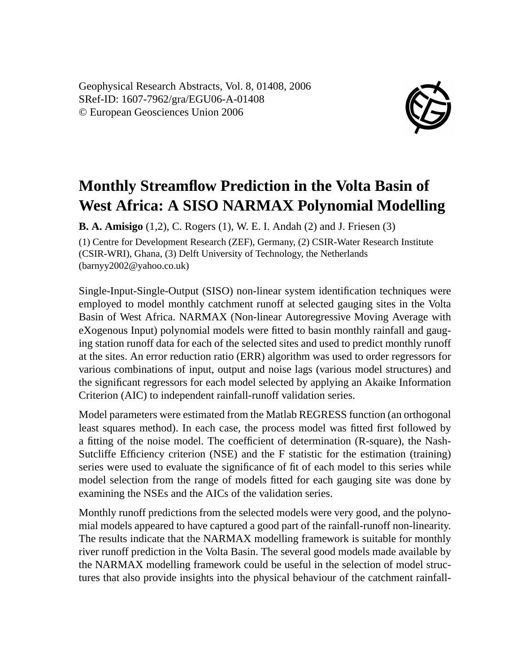Geophysical Research Abstracts, Vol. 8, 01408, 2006 SRef-ID: 1607-7962/gra/EGU06-A-01408 © European Geosciences Union 2006



## **Monthly Streamflow Prediction in the Volta Basin of West Africa: A SISO NARMAX Polynomial Modelling**

**B. A. Amisigo** (1,2), C. Rogers (1), W. E. I. Andah (2) and J. Friesen (3)

(1) Centre for Development Research (ZEF), Germany, (2) CSIR-Water Research Institute (CSIR-WRI), Ghana, (3) Delft University of Technology, the Netherlands (barnyy2002@yahoo.co.uk)

Single-Input-Single-Output (SISO) non-linear system identification techniques were employed to model monthly catchment runoff at selected gauging sites in the Volta Basin of West Africa. NARMAX (Non-linear Autoregressive Moving Average with eXogenous Input) polynomial models were fitted to basin monthly rainfall and gauging station runoff data for each of the selected sites and used to predict monthly runoff at the sites. An error reduction ratio (ERR) algorithm was used to order regressors for various combinations of input, output and noise lags (various model structures) and the significant regressors for each model selected by applying an Akaike Information Criterion (AIC) to independent rainfall-runoff validation series.

Model parameters were estimated from the Matlab REGRESS function (an orthogonal least squares method). In each case, the process model was fitted first followed by a fitting of the noise model. The coefficient of determination (R-square), the Nash-Sutcliffe Efficiency criterion (NSE) and the F statistic for the estimation (training) series were used to evaluate the significance of fit of each model to this series while model selection from the range of models fitted for each gauging site was done by examining the NSEs and the AICs of the validation series.

Monthly runoff predictions from the selected models were very good, and the polynomial models appeared to have captured a good part of the rainfall-runoff non-linearity. The results indicate that the NARMAX modelling framework is suitable for monthly river runoff prediction in the Volta Basin. The several good models made available by the NARMAX modelling framework could be useful in the selection of model structures that also provide insights into the physical behaviour of the catchment rainfall